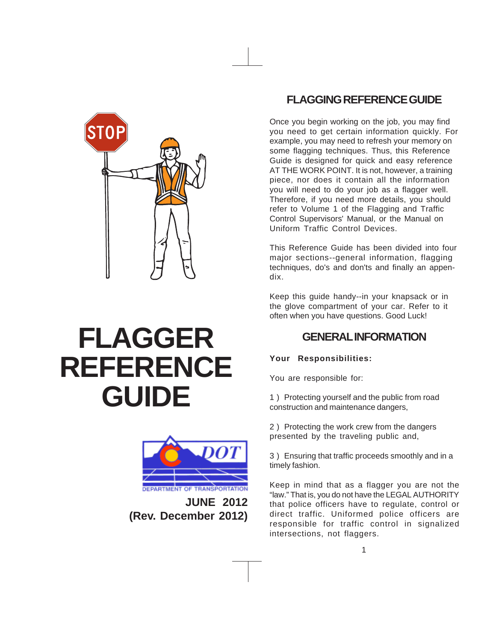

# **FLAGGER REFERENCE GUIDE**



**JUNE 2012 (Rev. December 2012)**

# **FLAGGING REFERENCE GUIDE**

Once you begin working on the job, you may find you need to get certain information quickly. For example, you may need to refresh your memory on some flagging techniques. Thus, this Reference Guide is designed for quick and easy reference AT THE WORK POINT. It is not, however, a training piece, nor does it contain all the information you will need to do your job as a flagger well. Therefore, if you need more details, you should refer to Volume 1 of the Flagging and Traffic Control Supervisors' Manual, or the Manual on Uniform Traffic Control Devices.

This Reference Guide has been divided into four major sections--general information, flagging techniques, do's and don'ts and finally an appendix.

Keep this guide handy--in your knapsack or in the glove compartment of your car. Refer to it often when you have questions. Good Luck!

# **GENERAL INFORMATION**

### **Your Responsibilities:**

You are responsible for:

1 ) Protecting yourself and the public from road construction and maintenance dangers,

2 ) Protecting the work crew from the dangers presented by the traveling public and,

3 ) Ensuring that traffic proceeds smoothly and in a timely fashion.

Keep in mind that as a flagger you are not the "law." That is, you do not have the LEGAL AUTHORITY that police officers have to regulate, control or direct traffic. Uniformed police officers are responsible for traffic control in signalized intersections, not flaggers.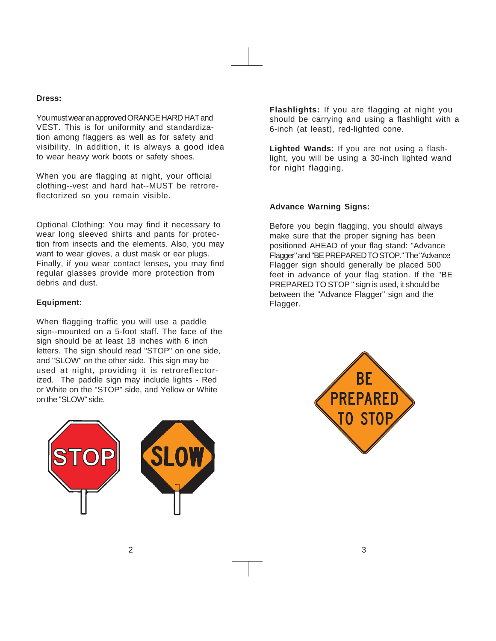#### **Dress:**

You must wear an approved ORANGE HARD HAT and VEST. This is for uniformity and standardization among flaggers as well as for safety and visibility. In addition, it is always a good idea to wear heavy work boots or safety shoes.

When you are flagging at night, your official clothing--vest and hard hat--MUST be retroreflectorized so you remain visible.

Optional Clothing: You may find it necessary to wear long sleeved shirts and pants for protection from insects and the elements. Also, you may want to wear gloves, a dust mask or ear plugs. Finally, if you wear contact lenses, you may find regular glasses provide more protection from debris and dust.

#### **Equipment:**

When flagging traffic you will use a paddle sign--mounted on a 5-foot staff. The face of the sign should be at least 18 inches with 6 inch letters. The sign should read "STOP" on one side, and "SLOW" on the other side. This sign may be used at night, providing it is retroreflectorized. The paddle sign may include lights - Red or White on the "STOP" side, and Yellow or White on the "SLOW" side.



**Flashlights:** If you are flagging at night you should be carrying and using a flashlight with a 6-inch (at least), red-lighted cone.

**Lighted Wands:** If you are not using a flashlight, you will be using a 30-inch lighted wand for night flagging.

#### **Advance Warning Signs:**

Before you begin flagging, you should always make sure that the proper signing has been positioned AHEAD of your flag stand: "Advance Flagger" and "BE PREPARED TO STOP." The "Advance Flagger sign should generally be placed 500 feet in advance of your flag station. If the "BE PREPARED TO STOP " sign is used, it should be between the "Advance Flagger" sign and the Flagger.

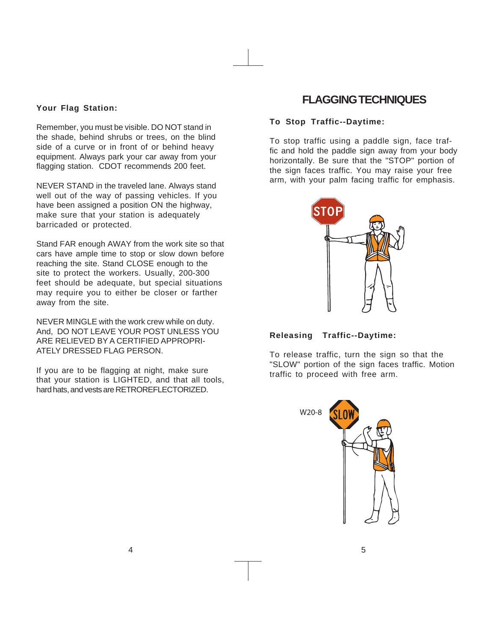#### **Your Flag Station:**

Remember, you must be visible. DO NOT stand in the shade, behind shrubs or trees, on the blind side of a curve or in front of or behind heavy equipment. Always park your car away from your flagging station. CDOT recommends 200 feet.

NEVER STAND in the traveled lane. Always stand well out of the way of passing vehicles. If you have been assigned a position ON the highway, make sure that your station is adequately barricaded or protected.

Stand FAR enough AWAY from the work site so that cars have ample time to stop or slow down before reaching the site. Stand CLOSE enough to the site to protect the workers. Usually, 200-300 feet should be adequate, but special situations may require you to either be closer or farther away from the site.

NEVER MINGLE with the work crew while on duty. And, DO NOT LEAVE YOUR POST UNLESS YOU ARE RELIEVED BY A CERTIFIED APPROPRI-ATELY DRESSED FLAG PERSON.

If you are to be flagging at night, make sure that your station is LIGHTED, and that all tools, hard hats, and vests are RETROREFLECTORIZED.

## **FLAGGING TECHNIQUES**

#### **To Stop Traffic--Daytime:**

To stop traffic using a paddle sign, face traffic and hold the paddle sign away from your body horizontally. Be sure that the "STOP" portion of the sign faces traffic. You may raise your free arm, with your palm facing traffic for emphasis.



**Releasing Traffic--Daytime:**

To release traffic, turn the sign so that the "SLOW" portion of the sign faces traffic. Motion traffic to proceed with free arm.

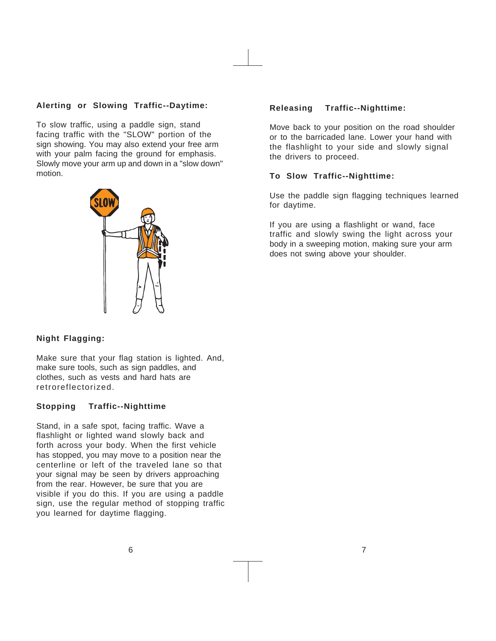#### **Alerting or Slowing Traffic--Daytime:**

To slow traffic, using a paddle sign, stand facing traffic with the "SLOW" portion of the sign showing. You may also extend your free arm with your palm facing the ground for emphasis. Slowly move your arm up and down in a "slow down" motion.



#### **Night Flagging:**

Make sure that your flag station is lighted. And, make sure tools, such as sign paddles, and clothes, such as vests and hard hats are retroreflectorized.

#### **Stopping Traffic--Nighttime**

Stand, in a safe spot, facing traffic. Wave a flashlight or lighted wand slowly back and forth across your body. When the first vehicle has stopped, you may move to a position near the centerline or left of the traveled lane so that your signal may be seen by drivers approaching from the rear. However, be sure that you are visible if you do this. If you are using a paddle sign, use the regular method of stopping traffic you learned for daytime flagging.

#### **Releasing Traffic--Nighttime:**

Move back to your position on the road shoulder or to the barricaded lane. Lower your hand with the flashlight to your side and slowly signal the drivers to proceed.

#### **To Slow Traffic--Nighttime:**

Use the paddle sign flagging techniques learned for daytime.

If you are using a flashlight or wand, face traffic and slowly swing the light across your body in a sweeping motion, making sure your arm does not swing above your shoulder.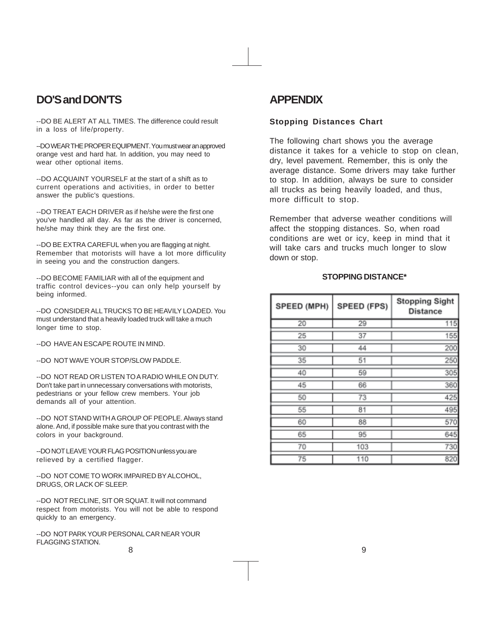## **DO'S and DON'TS**

--DO BE ALERT AT ALL TIMES. The difference could result in a loss of life/property.

--DO WEAR THE PROPER EQUIPMENT. You must wear an approved orange vest and hard hat. In addition, you may need to wear other optional items.

--DO ACQUAINT YOURSELF at the start of a shift as to current operations and activities, in order to better answer the public's questions.

--DO TREAT EACH DRIVER as if he/she were the first one you've handled all day. As far as the driver is concerned, he/she may think they are the first one.

--DO BE EXTRA CAREFUL when you are flagging at night. Remember that motorists will have a lot more difficulity in seeing you and the construction dangers.

--DO BECOME FAMILIAR with all of the equipment and traffic control devices--you can only help yourself by being informed.

--DO CONSIDER ALL TRUCKS TO BE HEAVILY LOADED. You must understand that a heavily loaded truck will take a much longer time to stop.

--DO HAVE AN ESCAPE ROUTE IN MIND.

--DO NOT WAVE YOUR STOP/SLOW PADDLE.

--DO NOT READ OR LISTEN TO A RADIO WHILE ON DUTY. Don't take part in unnecessary conversations with motorists, pedestrians or your fellow crew members. Your job demands all of your attention.

--DO NOT STAND WITH A GROUP OF PEOPLE. Always stand alone. And, if possible make sure that you contrast with the colors in your background.

--DO NOT LEAVE YOUR FLAG POSITION unless you are relieved by a certified flagger.

--DO NOT COME TO WORK IMPAIRED BY ALCOHOL, DRUGS, OR LACK OF SLEEP.

--DO NOT RECLINE, SIT OR SQUAT. It will not command respect from motorists. You will not be able to respond quickly to an emergency.

--DO NOT PARK YOUR PERSONAL CAR NEAR YOUR FLAGGING STATION. 8 9

## **APPENDIX**

#### **Stopping Distances Chart**

The following chart shows you the average distance it takes for a vehicle to stop on clean, dry, level pavement. Remember, this is only the average distance. Some drivers may take further to stop. In addition, always be sure to consider all trucks as being heavily loaded, and thus, more difficult to stop.

Remember that adverse weather conditions will affect the stopping distances. So, when road conditions are wet or icy, keep in mind that it will take cars and trucks much longer to slow down or stop.

#### **STOPPING DISTANCE\***

| SPEED (MPH) | SPEED (FPS) | <b>Stopping Sight</b><br><b>Distance</b> |
|-------------|-------------|------------------------------------------|
| 20          | 29          | 115                                      |
| 25          | 37          | 155                                      |
| 30          | 44          | 200                                      |
| 35          | 51          | 250                                      |
| 40          | 59          | 305                                      |
| 45          | 66          | 360                                      |
| 50          | 73          | 425                                      |
| 55          | 81          | 495                                      |
| 60          | 88          | 570                                      |
| 65          | 95          | 645                                      |
| 70          | 103         | 730                                      |
| 75          | 110         | 820                                      |